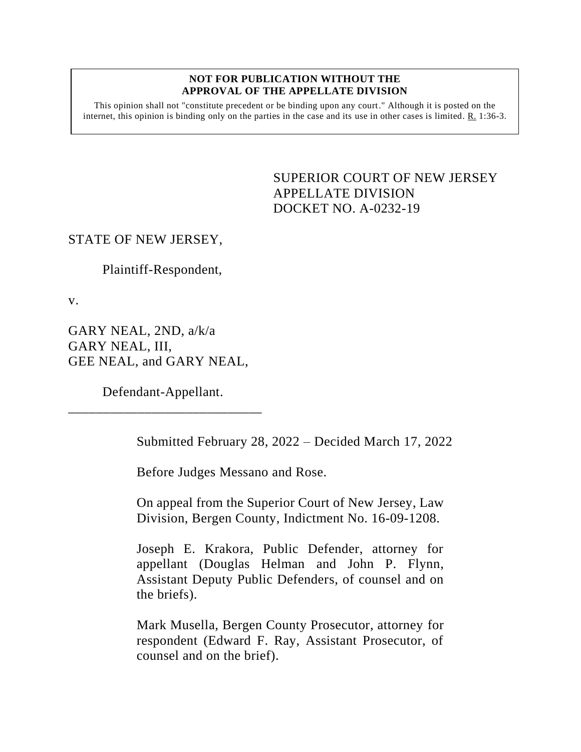#### **NOT FOR PUBLICATION WITHOUT THE APPROVAL OF THE APPELLATE DIVISION**

This opinion shall not "constitute precedent or be binding upon any court." Although it is posted on the internet, this opinion is binding only on the parties in the case and its use in other cases is limited.  $R_1$  1:36-3.

> <span id="page-0-0"></span>SUPERIOR COURT OF NEW JERSEY APPELLATE DIVISION DOCKET NO. A-0232-19

## STATE OF NEW JERSEY,

Plaintiff-Respondent,

v.

GARY NEAL, 2ND, a/k/a GARY NEAL, III, GEE NEAL, and GARY NEAL,

Defendant-Appellant. \_\_\_\_\_\_\_\_\_\_\_\_\_\_\_\_\_\_\_\_\_\_\_\_\_\_\_\_

Submitted February 28, 2022 – Decided March 17, 2022

Before Judges Messano and Rose.

On appeal from the Superior Court of New Jersey, Law Division, Bergen County, Indictment No. 16-09-1208.

Joseph E. Krakora, Public Defender, attorney for appellant (Douglas Helman and John P. Flynn, Assistant Deputy Public Defenders, of counsel and on the briefs).

Mark Musella, Bergen County Prosecutor, attorney for respondent (Edward F. Ray, Assistant Prosecutor, of counsel and on the brief).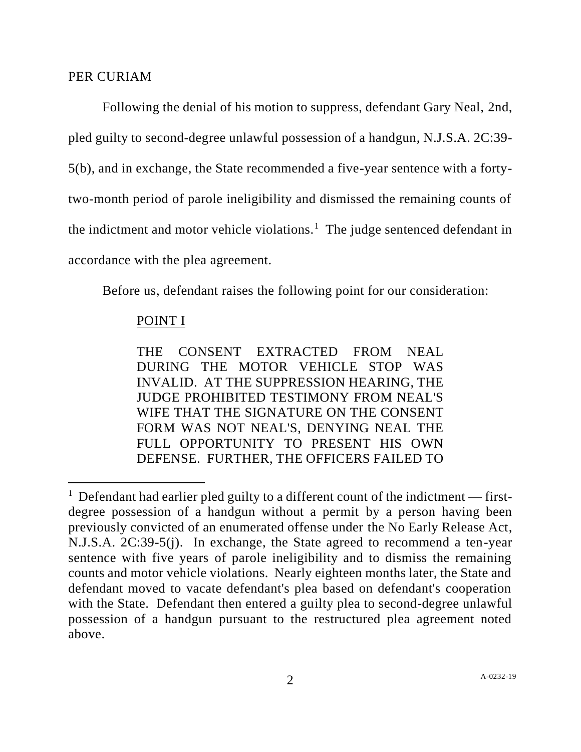## PER CURIAM

Following the denial of his motion to suppress, defendant Gary Neal, 2nd, pled guilty to second-degree unlawful possession of a handgun, N.J.S.A. 2C:39- 5(b), and in exchange, the State recommended a five-year sentence with a fortytwo-month period of parole ineligibility and dismissed the remaining counts of the indictment and motor vehicle violations.<sup>1</sup> The judge sentenced defendant in accordance with the plea agreement.

Before us, defendant raises the following point for our consideration:

# POINT I

THE CONSENT EXTRACTED FROM NEAL DURING THE MOTOR VEHICLE STOP WAS INVALID. AT THE SUPPRESSION HEARING, THE JUDGE PROHIBITED TESTIMONY FROM NEAL'S WIFE THAT THE SIGNATURE ON THE CONSENT FORM WAS NOT NEAL'S, DENYING NEAL THE FULL OPPORTUNITY TO PRESENT HIS OWN DEFENSE. FURTHER, THE OFFICERS FAILED TO

<sup>&</sup>lt;sup>1</sup> Defendant had earlier pled guilty to a different count of the indictment — firstdegree possession of a handgun without a permit by a person having been previously convicted of an enumerated offense under the No Early Release Act, N.J.S.A. 2C:39-5(j). In exchange, the State agreed to recommend a ten-year sentence with five years of parole ineligibility and to dismiss the remaining counts and motor vehicle violations. Nearly eighteen months later, the State and defendant moved to vacate defendant's plea based on defendant's cooperation with the State. Defendant then entered a guilty plea to second-degree unlawful possession of a handgun pursuant to the restructured plea agreement noted above.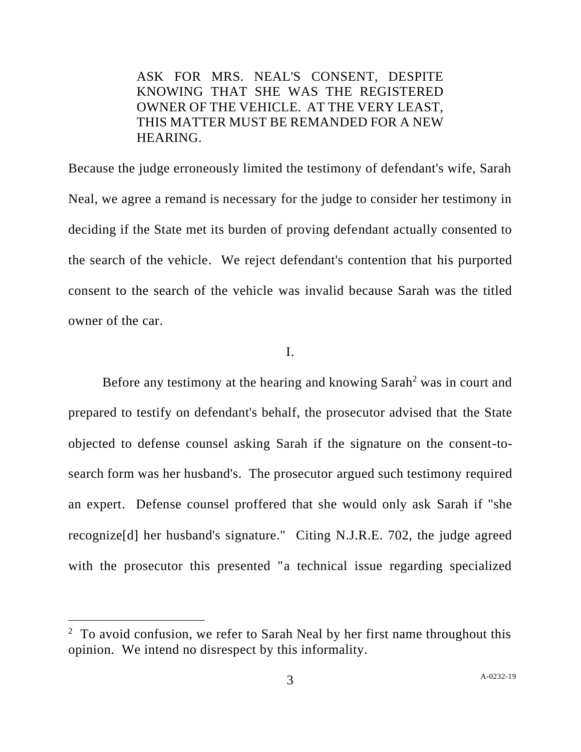ASK FOR MRS. NEAL'S CONSENT, DESPITE KNOWING THAT SHE WAS THE REGISTERED OWNER OF THE VEHICLE. AT THE VERY LEAST, THIS MATTER MUST BE REMANDED FOR A NEW HEARING.

Because the judge erroneously limited the testimony of defendant's wife, Sarah Neal, we agree a remand is necessary for the judge to consider her testimony in deciding if the State met its burden of proving defendant actually consented to the search of the vehicle. We reject defendant's contention that his purported consent to the search of the vehicle was invalid because Sarah was the titled owner of the car.

I.

Before any testimony at the hearing and knowing Sarah<sup>2</sup> was in court and prepared to testify on defendant's behalf, the prosecutor advised that the State objected to defense counsel asking Sarah if the signature on the consent-tosearch form was her husband's. The prosecutor argued such testimony required an expert. Defense counsel proffered that she would only ask Sarah if "she recognize[d] her husband's signature." Citing N.J.R.E. 702, the judge agreed with the prosecutor this presented "a technical issue regarding specialized

 $2 \text{ To avoid confusion, we refer to Sarah Neal by her first name throughout this.}$ opinion. We intend no disrespect by this informality.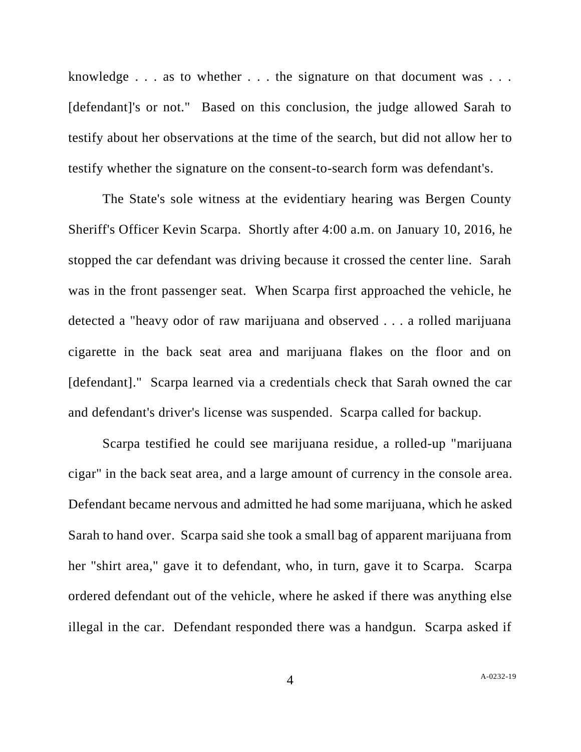knowledge . . . as to whether . . . the signature on that document was . . . [defendant]'s or not." Based on this conclusion, the judge allowed Sarah to testify about her observations at the time of the search, but did not allow her to testify whether the signature on the consent-to-search form was defendant's.

The State's sole witness at the evidentiary hearing was Bergen County Sheriff's Officer Kevin Scarpa. Shortly after 4:00 a.m. on January 10, 2016, he stopped the car defendant was driving because it crossed the center line. Sarah was in the front passenger seat. When Scarpa first approached the vehicle, he detected a "heavy odor of raw marijuana and observed . . . a rolled marijuana cigarette in the back seat area and marijuana flakes on the floor and on [defendant]." Scarpa learned via a credentials check that Sarah owned the car and defendant's driver's license was suspended. Scarpa called for backup.

Scarpa testified he could see marijuana residue, a rolled-up "marijuana cigar" in the back seat area, and a large amount of currency in the console area. Defendant became nervous and admitted he had some marijuana, which he asked Sarah to hand over. Scarpa said she took a small bag of apparent marijuana from her "shirt area," gave it to defendant, who, in turn, gave it to Scarpa. Scarpa ordered defendant out of the vehicle, where he asked if there was anything else illegal in the car. Defendant responded there was a handgun. Scarpa asked if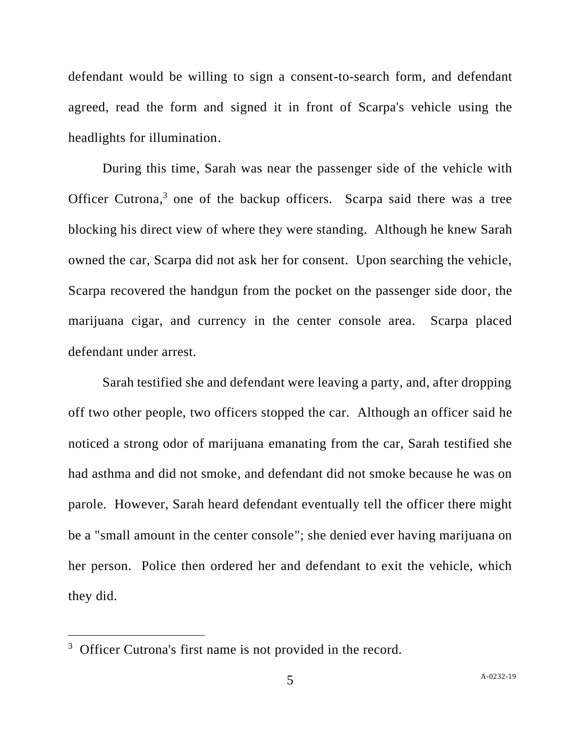defendant would be willing to sign a consent-to-search form, and defendant agreed, read the form and signed it in front of Scarpa's vehicle using the headlights for illumination.

During this time, Sarah was near the passenger side of the vehicle with Officer Cutrona,<sup>3</sup> one of the backup officers. Scarpa said there was a tree blocking his direct view of where they were standing. Although he knew Sarah owned the car, Scarpa did not ask her for consent. Upon searching the vehicle, Scarpa recovered the handgun from the pocket on the passenger side door, the marijuana cigar, and currency in the center console area. Scarpa placed defendant under arrest.

Sarah testified she and defendant were leaving a party, and, after dropping off two other people, two officers stopped the car. Although an officer said he noticed a strong odor of marijuana emanating from the car, Sarah testified she had asthma and did not smoke, and defendant did not smoke because he was on parole. However, Sarah heard defendant eventually tell the officer there might be a "small amount in the center console"; she denied ever having marijuana on her person. Police then ordered her and defendant to exit the vehicle, which they did.

<sup>&</sup>lt;sup>3</sup> Officer Cutrona's first name is not provided in the record.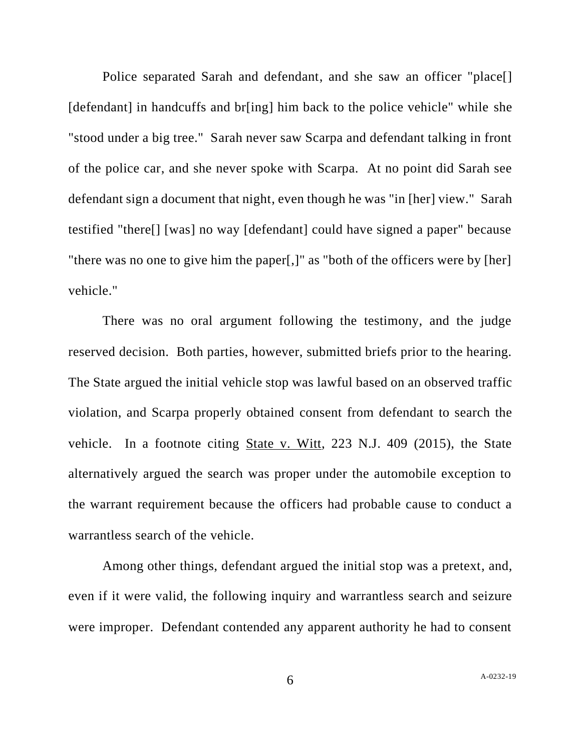Police separated Sarah and defendant, and she saw an officer "place[] [defendant] in handcuffs and br[ing] him back to the police vehicle" while she "stood under a big tree." Sarah never saw Scarpa and defendant talking in front of the police car, and she never spoke with Scarpa. At no point did Sarah see defendant sign a document that night, even though he was "in [her] view." Sarah testified "there[] [was] no way [defendant] could have signed a paper" because "there was no one to give him the paper[,]" as "both of the officers were by [her] vehicle."

There was no oral argument following the testimony, and the judge reserved decision. Both parties, however, submitted briefs prior to the hearing. The State argued the initial vehicle stop was lawful based on an observed traffic violation, and Scarpa properly obtained consent from defendant to search the vehicle. In a footnote citing State v. Witt, 223 N.J. 409 (2015), the State alternatively argued the search was proper under the automobile exception to the warrant requirement because the officers had probable cause to conduct a warrantless search of the vehicle.

Among other things, defendant argued the initial stop was a pretext, and, even if it were valid, the following inquiry and warrantless search and seizure were improper. Defendant contended any apparent authority he had to consent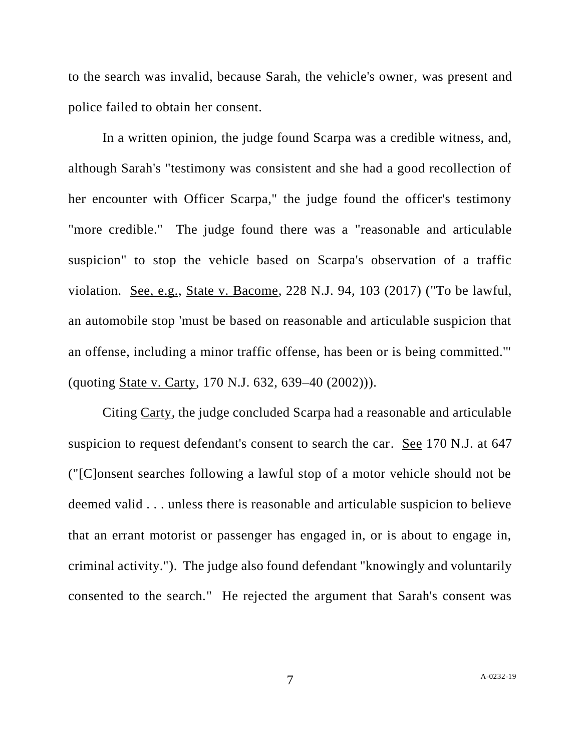to the search was invalid, because Sarah, the vehicle's owner, was present and police failed to obtain her consent.

In a written opinion, the judge found Scarpa was a credible witness, and, although Sarah's "testimony was consistent and she had a good recollection of her encounter with Officer Scarpa," the judge found the officer's testimony "more credible." The judge found there was a "reasonable and articulable suspicion" to stop the vehicle based on Scarpa's observation of a traffic violation. See, e.g., State v. Bacome, 228 N.J. 94, 103 (2017) ("To be lawful, an automobile stop 'must be based on reasonable and articulable suspicion that an offense, including a minor traffic offense, has been or is being committed.'" (quoting State v. Carty, 170 N.J. 632, 639–40 (2002))).

Citing Carty, the judge concluded Scarpa had a reasonable and articulable suspicion to request defendant's consent to search the car. See 170 N.J. at 647 ("[C]onsent searches following a lawful stop of a motor vehicle should not be deemed valid . . . unless there is reasonable and articulable suspicion to believe that an errant motorist or passenger has engaged in, or is about to engage in, criminal activity."). The judge also found defendant "knowingly and voluntarily consented to the search." He rejected the argument that Sarah's consent was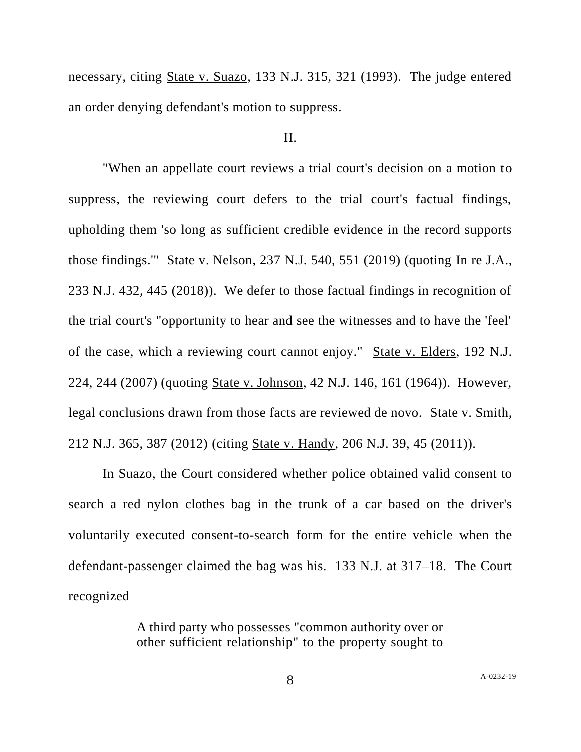necessary, citing State v. Suazo, 133 N.J. 315, 321 (1993). The judge entered an order denying defendant's motion to suppress.

### II.

"When an appellate court reviews a trial court's decision on a motion to suppress, the reviewing court defers to the trial court's factual findings, upholding them 'so long as sufficient credible evidence in the record supports those findings.'" State v. Nelson, 237 N.J. 540, 551 (2019) (quoting In re J.A., 233 N.J. 432, 445 (2018)). We defer to those factual findings in recognition of the trial court's "opportunity to hear and see the witnesses and to have the 'feel' of the case, which a reviewing court cannot enjoy." State v. Elders, 192 N.J. 224, 244 (2007) (quoting State v. Johnson, 42 N.J. 146, 161 (1964)). However, legal conclusions drawn from those facts are reviewed de novo. State v. Smith, 212 N.J. 365, 387 (2012) (citing State v. Handy, 206 N.J. 39, 45 (2011)).

In Suazo, the Court considered whether police obtained valid consent to search a red nylon clothes bag in the trunk of a car based on the driver's voluntarily executed consent-to-search form for the entire vehicle when the defendant-passenger claimed the bag was his. 133 N.J. at 317–18. The Court recognized

> A third party who possesses "common authority over or other sufficient relationship" to the property sought to

8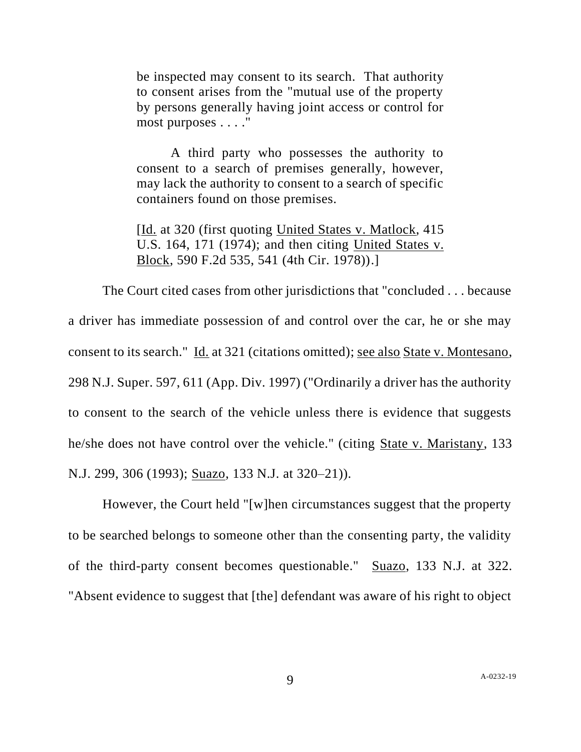be inspected may consent to its search. That authority to consent arises from the "mutual use of the property by persons generally having joint access or control for most purposes . . . ."

A third party who possesses the authority to consent to a search of premises generally, however, may lack the authority to consent to a search of specific containers found on those premises.

[Id. at 320 (first quoting United States v. Matlock, 415 U.S. 164, 171 (1974); and then citing United States v. Block, 590 F.2d 535, 541 (4th Cir. 1978)).]

The Court cited cases from other jurisdictions that "concluded . . . because a driver has immediate possession of and control over the car, he or she may consent to its search." Id. at 321 (citations omitted); see also State v. Montesano, 298 N.J. Super. 597, 611 (App. Div. 1997) ("Ordinarily a driver has the authority to consent to the search of the vehicle unless there is evidence that suggests he/she does not have control over the vehicle." (citing State v. Maristany, 133 N.J. 299, 306 (1993); Suazo, 133 N.J. at 320–21)).

However, the Court held "[w]hen circumstances suggest that the property to be searched belongs to someone other than the consenting party, the validity of the third-party consent becomes questionable." Suazo, 133 N.J. at 322. "Absent evidence to suggest that [the] defendant was aware of his right to object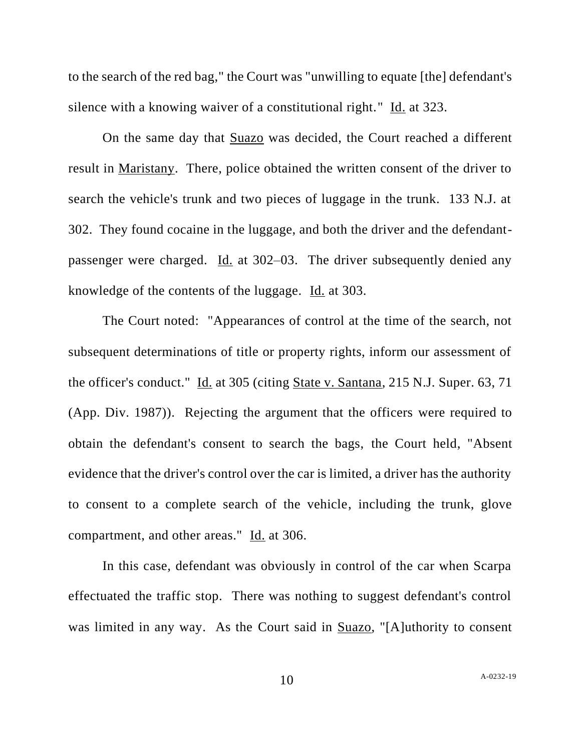to the search of the red bag," the Court was "unwilling to equate [the] defendant's silence with a knowing waiver of a constitutional right." Id. at 323.

On the same day that Suazo was decided, the Court reached a different result in Maristany. There, police obtained the written consent of the driver to search the vehicle's trunk and two pieces of luggage in the trunk. 133 N.J. at 302. They found cocaine in the luggage, and both the driver and the defendantpassenger were charged. Id. at 302-03. The driver subsequently denied any knowledge of the contents of the luggage. Id. at 303.

The Court noted: "Appearances of control at the time of the search, not subsequent determinations of title or property rights, inform our assessment of the officer's conduct." Id. at 305 (citing State v. Santana, 215 N.J. Super. 63, 71 (App. Div. 1987)). Rejecting the argument that the officers were required to obtain the defendant's consent to search the bags, the Court held, "Absent evidence that the driver's control over the car is limited, a driver has the authority to consent to a complete search of the vehicle, including the trunk, glove compartment, and other areas." Id. at 306.

In this case, defendant was obviously in control of the car when Scarpa effectuated the traffic stop. There was nothing to suggest defendant's control was limited in any way. As the Court said in Suazo, "[A]uthority to consent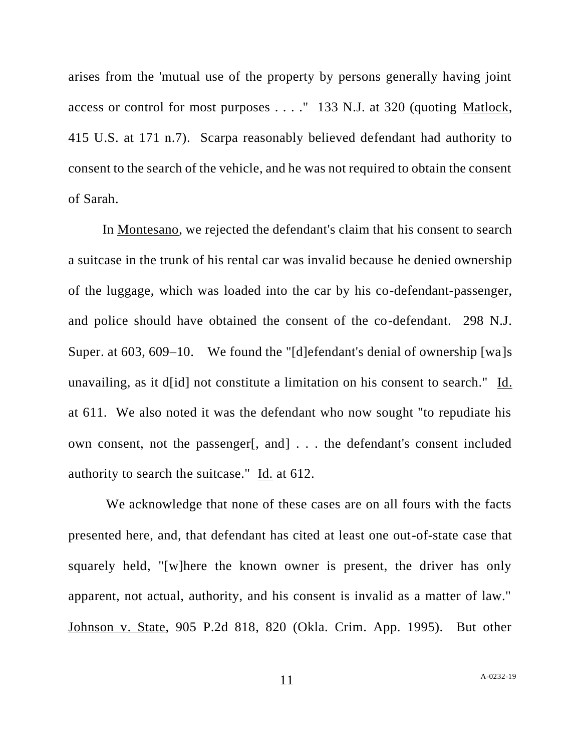arises from the 'mutual use of the property by persons generally having joint access or control for most purposes . . . ." 133 N.J. at 320 (quoting Matlock, 415 U.S. at 171 n.7). Scarpa reasonably believed defendant had authority to consent to the search of the vehicle, and he was not required to obtain the consent of Sarah.

In Montesano, we rejected the defendant's claim that his consent to search a suitcase in the trunk of his rental car was invalid because he denied ownership of the luggage, which was loaded into the car by his co-defendant-passenger, and police should have obtained the consent of the co-defendant. 298 N.J. Super. at 603, 609–10. We found the "[d]efendant's denial of ownership [wa]s unavailing, as it d[id] not constitute a limitation on his consent to search." Id. at 611. We also noted it was the defendant who now sought "to repudiate his own consent, not the passenger[, and] . . . the defendant's consent included authority to search the suitcase." Id. at 612.

We acknowledge that none of these cases are on all fours with the facts presented here, and, that defendant has cited at least one out-of-state case that squarely held, "[w]here the known owner is present, the driver has only apparent, not actual, authority, and his consent is invalid as a matter of law." Johnson v. State, 905 P.2d 818, 820 (Okla. Crim. App. 1995). But other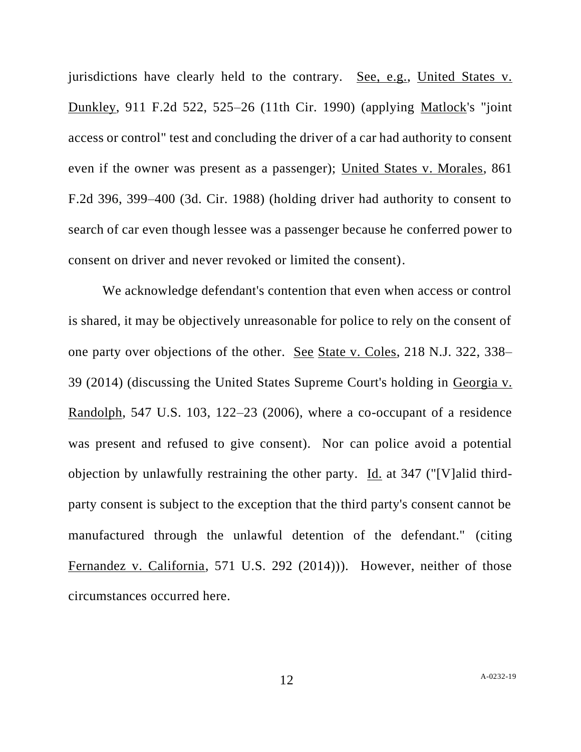jurisdictions have clearly held to the contrary. See, e.g., United States v. Dunkley, 911 F.2d 522, 525–26 (11th Cir. 1990) (applying Matlock's "joint access or control" test and concluding the driver of a car had authority to consent even if the owner was present as a passenger); United States v. Morales, 861 F.2d 396, 399–400 (3d. Cir. 1988) (holding driver had authority to consent to search of car even though lessee was a passenger because he conferred power to consent on driver and never revoked or limited the consent).

We acknowledge defendant's contention that even when access or control is shared, it may be objectively unreasonable for police to rely on the consent of one party over objections of the other. See State v. Coles, 218 N.J. 322, 338– 39 (2014) (discussing the United States Supreme Court's holding in Georgia v. Randolph, 547 U.S. 103, 122–23 (2006), where a co-occupant of a residence was present and refused to give consent). Nor can police avoid a potential objection by unlawfully restraining the other party. Id. at 347 ("[V]alid thirdparty consent is subject to the exception that the third party's consent cannot be manufactured through the unlawful detention of the defendant." (citing Fernandez v. California, 571 U.S. 292 (2014))). However, neither of those circumstances occurred here.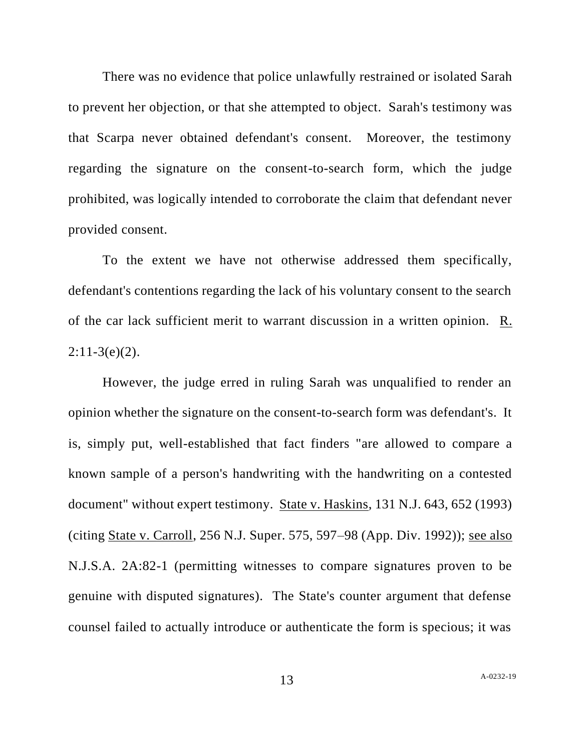There was no evidence that police unlawfully restrained or isolated Sarah to prevent her objection, or that she attempted to object. Sarah's testimony was that Scarpa never obtained defendant's consent. Moreover, the testimony regarding the signature on the consent-to-search form, which the judge prohibited, was logically intended to corroborate the claim that defendant never provided consent.

To the extent we have not otherwise addressed them specifically, defendant's contentions regarding the lack of his voluntary consent to the search of the car lack sufficient merit to warrant discussion in a written opinion. R.  $2:11-3(e)(2)$ .

However, the judge erred in ruling Sarah was unqualified to render an opinion whether the signature on the consent-to-search form was defendant's. It is, simply put, well-established that fact finders "are allowed to compare a known sample of a person's handwriting with the handwriting on a contested document" without expert testimony. State v. Haskins, 131 N.J. 643, 652 (1993) (citing State v. Carroll, 256 N.J. Super. 575, 597–98 (App. Div. 1992)); see also N.J.S.A. 2A:82-1 (permitting witnesses to compare signatures proven to be genuine with disputed signatures). The State's counter argument that defense counsel failed to actually introduce or authenticate the form is specious; it was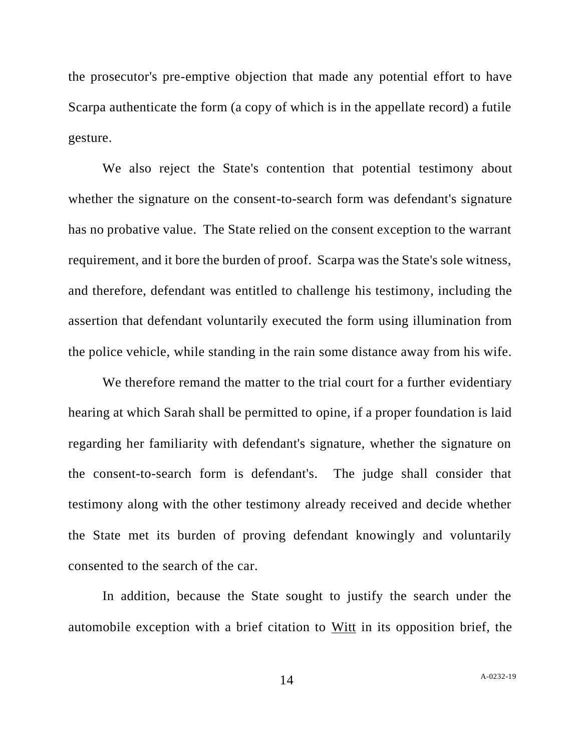the prosecutor's pre-emptive objection that made any potential effort to have Scarpa authenticate the form (a copy of which is in the appellate record) a futile gesture.

We also reject the State's contention that potential testimony about whether the signature on the consent-to-search form was defendant's signature has no probative value. The State relied on the consent exception to the warrant requirement, and it bore the burden of proof. Scarpa was the State's sole witness, and therefore, defendant was entitled to challenge his testimony, including the assertion that defendant voluntarily executed the form using illumination from the police vehicle, while standing in the rain some distance away from his wife.

We therefore remand the matter to the trial court for a further evidentiary hearing at which Sarah shall be permitted to opine, if a proper foundation is laid regarding her familiarity with defendant's signature, whether the signature on the consent-to-search form is defendant's. The judge shall consider that testimony along with the other testimony already received and decide whether the State met its burden of proving defendant knowingly and voluntarily consented to the search of the car.

In addition, because the State sought to justify the search under the automobile exception with a brief citation to Witt in its opposition brief, the